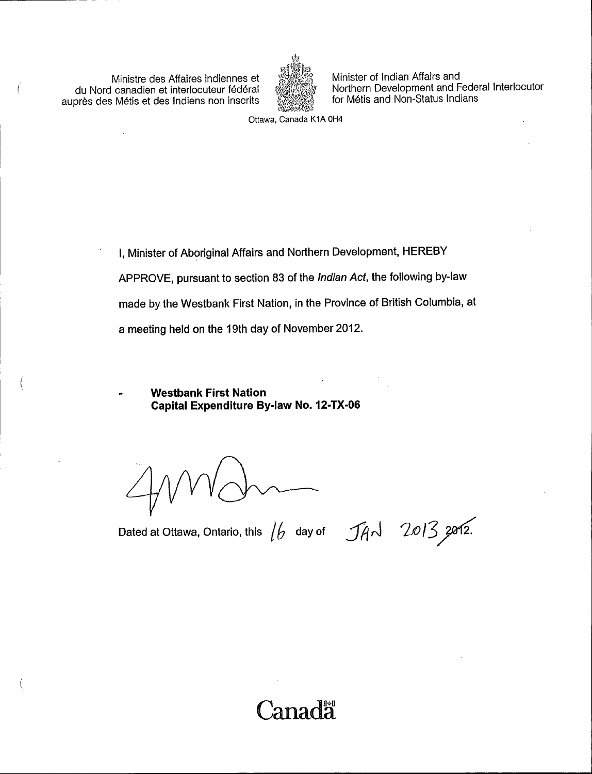Ministre des Affaires indiennes et du Nord canadien et interlocuteur federal auprès des Métis et des Indiens non inscrits



Minister of Indian Affairs and Northern Development and Federal Interlocutor for Métis and Non-Status Indians

Ottawa, Canada K1A 0H4

I, Minister of Aboriginal Affairs and Northern Development, HEREBY APPROVE, pursuant to section 83 of the Indian Act, the following by-law made by the Westbank First Nation, in the Province of British Columbia, at a meeting held on the 19th day of November 2012.

Westbank First Nation Capital Expenditure By -law No. 12 -TX -06

Í

Dated at Ottawa, Ontario, this  $1/6$  day of  $\int A \sqrt{20/3}$  2012.

# 'anada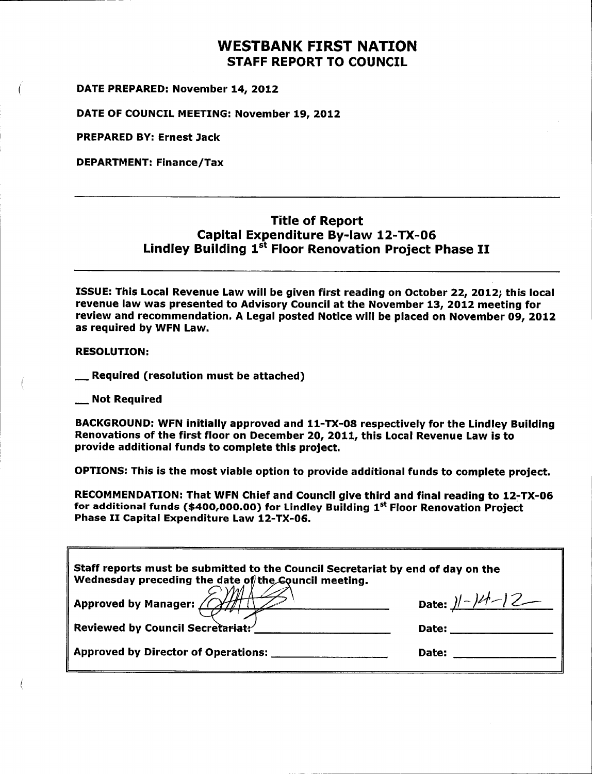# WESTBANK FIRST NATION STAFF REPORT TO COUNCIL

DATE PREPARED: November 14, 2012

DATE OF COUNCIL MEETING: November 19, 2012

PREPARED BY: Ernest Jack

DEPARTMENT: Finance /Tax

# Title of Report Capital Expenditure By -law 12 -TX -06 Lindley Building 1<sup>st</sup> Floor Renovation Project Phase II

ISSUE: This Local Revenue Law will be given first reading on October 22, 2012; this local revenue law was presented to Advisory Council at the November 13, 2012 meeting for review and recommendation. A Legal posted Notice will be placed on November 09, 2012 as required by WFN Law.

RESOLUTION:

Required ( resolution must be attached)

Not Required

BACKGROUND: WFN initially approved and 11 -TX -08 respectively for the Lindley Building Renovations of the first floor on December 20, 2011, this Local Revenue Law is to provide additional funds to complete this project.

OPTIONS: This is the most viable option to provide additional funds to complete project.

RECOMMENDATION: That WFN Chief and Council give third and final reading to 12 -TX -06 for additional funds (\$400,000.00) for Lindley Building 1<sup>st</sup> Floor Renovation Project Phase II Capital Expenditure Law 12-TX-06.

| Staff reports must be submitted to the Council Secretariat by end of day on the |  |  |  |  |
|---------------------------------------------------------------------------------|--|--|--|--|
| Wednesday preceding the date of the Council meeting.                            |  |  |  |  |

| - <i>***</i><br>Approved by Manager: (14/11). | Date: $ /- / - Z $ |
|-----------------------------------------------|--------------------|
| Reviewed by Council Secretariat:              | Date:              |

Date:  $|l-\rangle l^2-l^2$ 

Approved by Director of Operations: Date: Date: Date: Date:

| n. – 1. – <i>–</i> |  |  |  |
|--------------------|--|--|--|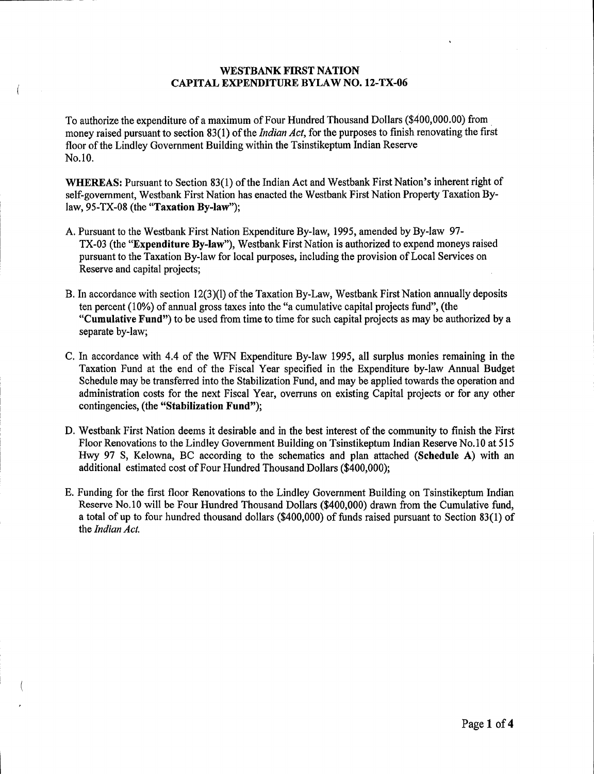### WESTBANK FIRST NATION CAPITAL EXPENDITURE BYLAW NO. 12 -TX -06

To authorize the expenditure of <sup>a</sup> maximum of Four Hundred Thousand Dollars (\$400,000. 00) from money raised pursuant to section 83(1) of the *Indian Act*, for the purposes to finish renovating the first floor of the Lindley Government Building within the Tsinstikeptum Indian Reserve No.10.

WHEREAS: Pursuant to Section 83(1) of the Indian Act and Westbank First Nation's inherent right of self-government, Westbank First Nation has enacted the Westbank First Nation Property Taxation Bylaw, 95-TX-08 (the "Taxation By-law");

- A. Pursuant to the Westbank First Nation Expenditure By -law, 1995, amended by By -law 97- TX-03 (the "Expenditure By-law"), Westbank First Nation is authorized to expend moneys raised pursuant to the Taxation By -law for local purposes, including the provision of Local Services on Reserve and capital projects;
- B. In accordance with section 12(3)(1) of the Taxation By-Law, Westbank First Nation annually deposits ten percent (10%) of annual gross taxes into the "a cumulative capital projects fund", (the "Cumulative Fund") to be used from time to time for such capital projects as may be authorized by a separate by-law;
- C. In accordance with 4.4 of the WFN Expenditure By-law 1995, all surplus monies remaining in the Taxation Fund at the end of the Fiscal Year specified in the Expenditure by -law Annual Budget Schedule may be transferred into the Stabilization Fund, and may be applied towards the operation and administration costs for the next Fiscal Year, overruns on existing Capital projects or for any other contingencies, (the "Stabilization Fund");
- D. Westbank First Nation deems it desirable and in the best interest of the community to finish the First Floor Renovations to the Lindley Government Building on Tsinstikeptum Indian Reserve No. 10 at 515 Hwy 97 S, Kelowna, BC according to the schematics and plan attached (Schedule A) with an additional estimated cost of Four Hundred Thousand Dollars (\$400,000);
- E. Funding for the first floor Renovations to the Lindley Government Building on Tsinstikeptum Indian Reserve No. <sup>10</sup> will be Four Hundred Thousand Dollars (\$400,000) drawn from the Cumulative fund, <sup>a</sup> total of up to four hundred thousand dollars (\$400,000) of funds raised pursuant to Section 83( 1) of the Indian Act.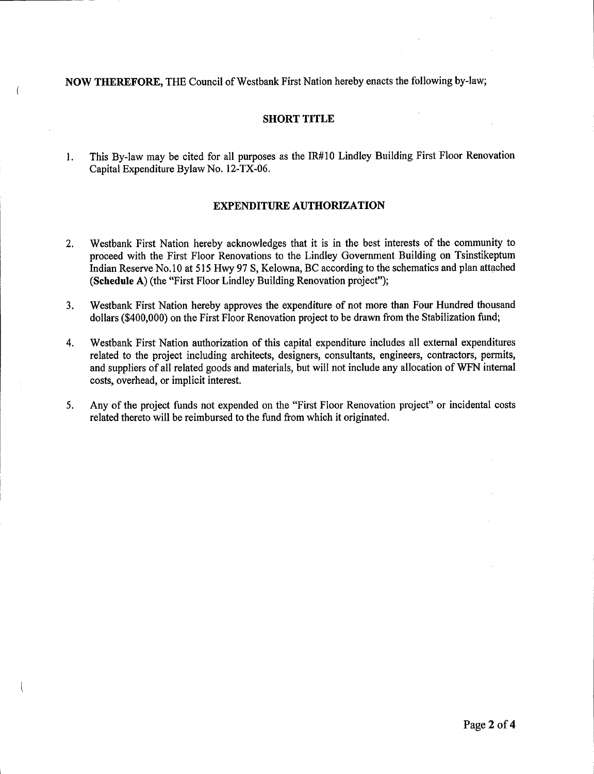NOW THEREFORE, THE Council of Westbank First Nation hereby enacts the following by -law;

### SHORT TITLE

1. This By -law may be cited for all purposes as the IR# 10 Lindley Building First Floor Renovation Capital Expenditure Bylaw No. 12-TX-06.

#### EXPENDITURE AUTHORIZATION

- 2. Westbank First Nation hereby acknowledges that it is in the best interests of the community to proceed with the First Floor Renovations to the Lindley Government Building on Tsinstikeptum Indian Reserve No. 10 at 515 Hwy 97 S, Kelowna, BC according to the schematics and plan attached (Schedule A) (the "First Floor Lindley Building Renovation project");
- 3. Westbank First Nation hereby approves the expenditure of not more than Four Hundred thousand dollars (\$400,000) on the First Floor Renovation project to be drawn from the Stabilization fund;
- 4. Westbank First Nation authorization of this capital expenditure includes all external expenditures related to the project including architects, designers, consultants, engineers, contractors, permits, and suppliers of all related goods and materials, but will not include any allocation of WFN internal costs, overhead, or implicit interest.
- 5. Any of the project funds not expended on the " First Floor Renovation project" or incidental costs related thereto will be reimbursed to the fund from which it originated.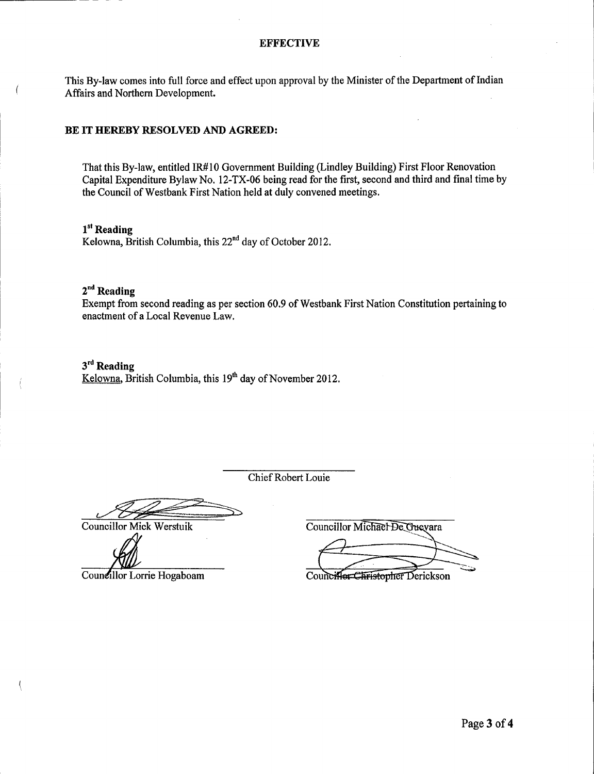#### EFFECTIVE

This By -law comes into full force and effect upon approval by the Minister of the Department of Indian Affairs and Northern Development.

#### BE IT HEREBY RESOLVED AND AGREED:

That this By-law, entitled IR#10 Government Building (Lindley Building) First Floor Renovation Capital Expenditure Bylaw No. 12 -TX -06 being read for the first, second and third and final time by the Council of Westbank First Nation held at duly convened meetings.

## 1<sup>st</sup> Reading

 $K$ elowna, British Columbia, this  $22<sup>nd</sup>$  day of October 2012.

2<sup>nd</sup> Reading

Exempt from second reading as per section 60.9 of Westbank First Nation Constitution pertaining to enactment of <sup>a</sup> Local Revenue Law.

3<sup>rd</sup> Reading Kelowna, British Columbia, this  $19<sup>th</sup>$  day of November 2012.

Chief Robert Louie

Councillor Mick Werstuik

Councillor Lorrie Hogaboam

Councillor Michael De Guevara

Councillor Christopher Derickson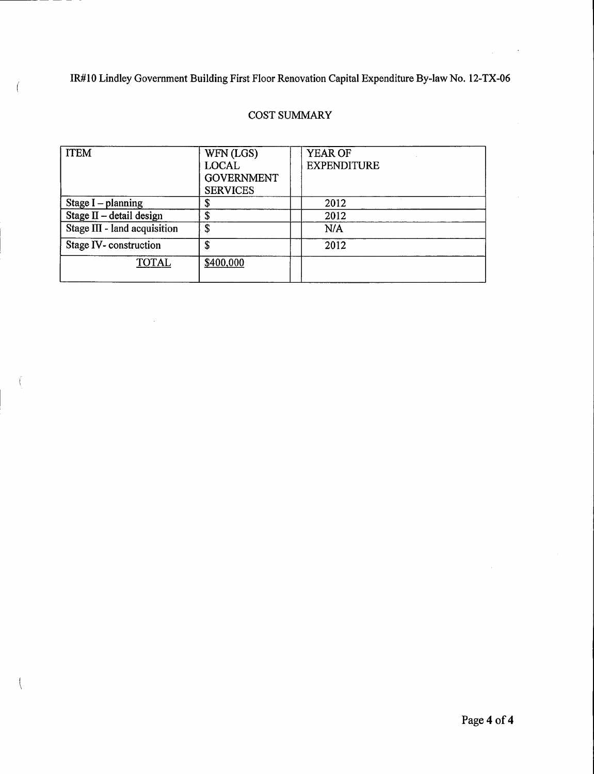IR #10 Lindley Government Building First Floor Renovation Capital Expenditure By -law No. 12 -TX -06

## COST SUMMARY

| <b>ITEM</b>                  | WFN (LGS)         | YEAR OF            |
|------------------------------|-------------------|--------------------|
|                              | <b>LOCAL</b>      | <b>EXPENDITURE</b> |
|                              | <b>GOVERNMENT</b> |                    |
|                              | <b>SERVICES</b>   |                    |
| Stage $I$ – planning         | ۰D                | 2012               |
| Stage $\Pi$ – detail design  |                   | 2012               |
| Stage III - land acquisition | \$                | N/A                |
| Stage IV-construction        | \$                | 2012               |
| <b>TOTAL</b>                 | \$400,000         |                    |
|                              |                   |                    |

Page 4 of 4